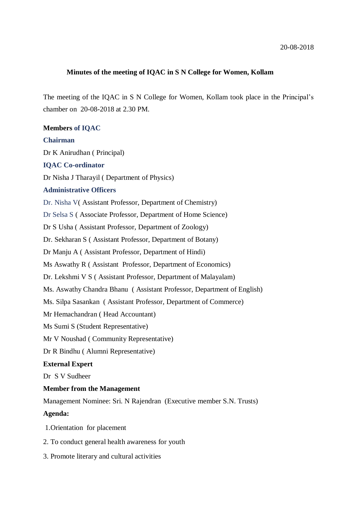### **Minutes of the meeting of IQAC in S N College for Women, Kollam**

The meeting of the IQAC in S N College for Women, Kollam took place in the Principal's chamber on 20-08-2018 at 2.30 PM.

# **Members of IQAC**

### **Chairman**

Dr K Anirudhan ( Principal)

### **IQAC Co-ordinator**

Dr Nisha J Tharayil ( Department of Physics)

### **Administrative Officers**

Dr. Nisha V( Assistant Professor, Department of Chemistry)

Dr Selsa S ( Associate Professor, Department of Home Science)

Dr S Usha ( Assistant Professor, Department of Zoology)

Dr. Sekharan S ( Assistant Professor, Department of Botany)

Dr Manju A ( Assistant Professor, Department of Hindi)

Ms Aswathy R ( Assistant Professor, Department of Economics)

Dr. Lekshmi V S ( Assistant Professor, Department of Malayalam)

Ms. Aswathy Chandra Bhanu ( Assistant Professor, Department of English)

Ms. Silpa Sasankan ( Assistant Professor, Department of Commerce)

Mr Hemachandran ( Head Accountant)

Ms Sumi S (Student Representative)

Mr V Noushad ( Community Representative)

Dr R Bindhu ( Alumni Representative)

### **External Expert**

Dr S V Sudheer

## **Member from the Management**

Management Nominee: Sri. N Rajendran (Executive member S.N. Trusts)

## **Agenda:**

1.Orientation for placement

- 2. To conduct general health awareness for youth
- 3. Promote literary and cultural activities